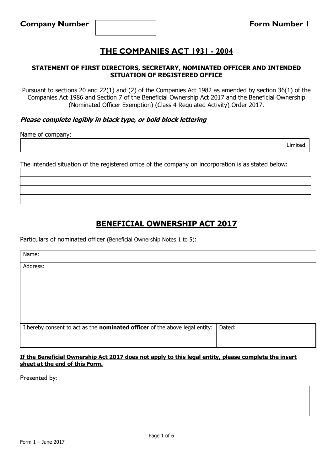### **STATEMENT OF FIRST DIRECTORS, SECRETARY, NOMINATED OFFICER AND INTENDED SITUATION OF REGISTERED OFFICE**

Pursuant to sections 20 and 22(1) and (2) of the Companies Act 1982 as amended by section 36(1) of the Companies Act 1986 and Section 7 of the Beneficial Ownership Act 2017 and the Beneficial Ownership (Nominated Officer Exemption) (Class 4 Regulated Activity) Order 2017.

### **Please complete legibly in black type, or bold block lettering**

Name of company:

Limited

The intended situation of the registered office of the company on incorporation is as stated below:

## **BENEFICIAL OWNERSHIP ACT 2017**

Particulars of nominated officer (Beneficial Ownership Notes 1 to 5):

| Name:                                                                              |        |
|------------------------------------------------------------------------------------|--------|
| Address:                                                                           |        |
|                                                                                    |        |
|                                                                                    |        |
|                                                                                    |        |
|                                                                                    |        |
| I hereby consent to act as the <b>nominated officer</b> of the above legal entity: | Dated: |
|                                                                                    |        |

#### **If the Beneficial Ownership Act 2017 does not apply to this legal entity, please complete the insert sheet at the end of this Form.**

Presented by: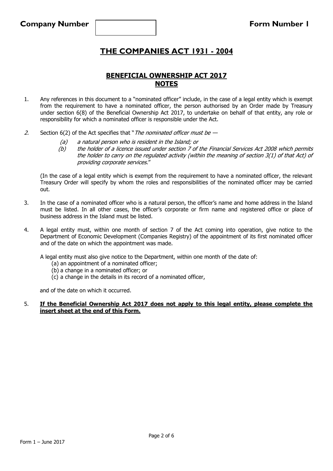### **BENEFICIAL OWNERSHIP ACT 2017 NOTES**

- 1. Any references in this document to a "nominated officer" include, in the case of a legal entity which is exempt from the requirement to have a nominated officer, the person authorised by an Order made by Treasury under section 6(8) of the Beneficial Ownership Act 2017, to undertake on behalf of that entity, any role or responsibility for which a nominated officer is responsible under the Act.
- 2. Section  $6(2)$  of the Act specifies that "The nominated officer must be  $-$ 
	- (a) a natural person who is resident in the Island; or
	- (b) the holder of a licence issued under section 7 of the Financial Services Act 2008 which permits the holder to carry on the regulated activity (within the meaning of section 3(1) of that Act) of providing corporate services."

(In the case of a legal entity which is exempt from the requirement to have a nominated officer, the relevant Treasury Order will specify by whom the roles and responsibilities of the nominated officer may be carried out.

- 3. In the case of a nominated officer who is a natural person, the officer's name and home address in the Island must be listed. In all other cases, the officer's corporate or firm name and registered office or place of business address in the Island must be listed.
- 4. A legal entity must, within one month of section 7 of the Act coming into operation, give notice to the Department of Economic Development (Companies Registry) of the appointment of its first nominated officer and of the date on which the appointment was made.

A legal entity must also give notice to the Department, within one month of the date of:

- (a) an appointment of a nominated officer;
- (b) a change in a nominated officer; or
- (c) a change in the details in its record of a nominated officer,

and of the date on which it occurred.

#### 5. **If the Beneficial Ownership Act 2017 does not apply to this legal entity, please complete the insert sheet at the end of this Form.**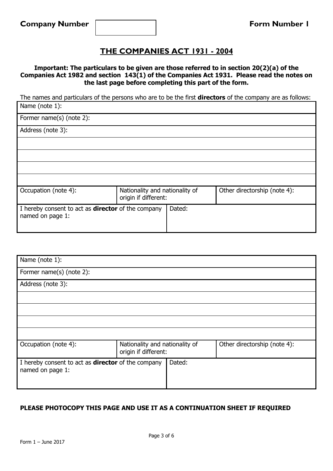**Important: The particulars to be given are those referred to in section 20(2)(a) of the Companies Act 1982 and section 143(1) of the Companies Act 1931. Please read the notes on the last page before completing this part of the form.**

The names and particulars of the persons who are to be the first **directors** of the company are as follows: Name (note 1):

| Former name(s) (note 2):                                                      |                                                        |        |                              |
|-------------------------------------------------------------------------------|--------------------------------------------------------|--------|------------------------------|
| Address (note 3):                                                             |                                                        |        |                              |
|                                                                               |                                                        |        |                              |
|                                                                               |                                                        |        |                              |
|                                                                               |                                                        |        |                              |
|                                                                               |                                                        |        |                              |
| Occupation (note 4):                                                          | Nationality and nationality of<br>origin if different: |        | Other directorship (note 4): |
| I hereby consent to act as <b>director</b> of the company<br>named on page 1: |                                                        | Dated: |                              |

| Name (note 1):                                                                |                                                        |                              |
|-------------------------------------------------------------------------------|--------------------------------------------------------|------------------------------|
| Former name(s) (note 2):                                                      |                                                        |                              |
| Address (note 3):                                                             |                                                        |                              |
|                                                                               |                                                        |                              |
|                                                                               |                                                        |                              |
|                                                                               |                                                        |                              |
|                                                                               |                                                        |                              |
| Occupation (note 4):                                                          | Nationality and nationality of<br>origin if different: | Other directorship (note 4): |
| I hereby consent to act as <b>director</b> of the company<br>named on page 1: | Dated:                                                 |                              |

## **PLEASE PHOTOCOPY THIS PAGE AND USE IT AS A CONTINUATION SHEET IF REQUIRED**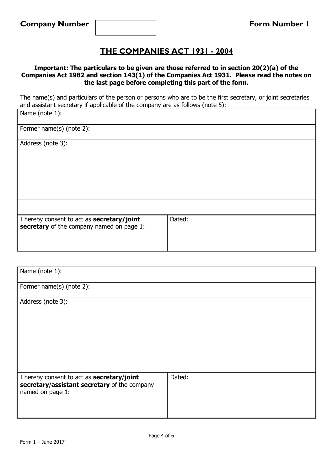### **Important: The particulars to be given are those referred to in section 20(2)(a) of the Companies Act 1982 and section 143(1) of the Companies Act 1931. Please read the notes on the last page before completing this part of the form.**

The name(s) and particulars of the person or persons who are to be the first secretary, or joint secretaries and assistant secretary if applicable of the company are as follows (note 5):

| Name (note 1):                                                                          |        |
|-----------------------------------------------------------------------------------------|--------|
| Former name(s) (note 2):                                                                |        |
| Address (note 3):                                                                       |        |
|                                                                                         |        |
|                                                                                         |        |
|                                                                                         |        |
|                                                                                         |        |
| I hereby consent to act as secretary/joint<br>secretary of the company named on page 1: | Dated: |

| Name (note 1):                                                                                                 |        |
|----------------------------------------------------------------------------------------------------------------|--------|
| Former name(s) (note 2):                                                                                       |        |
| Address (note 3):                                                                                              |        |
|                                                                                                                |        |
|                                                                                                                |        |
|                                                                                                                |        |
|                                                                                                                |        |
| I hereby consent to act as secretary/joint<br>secretary/assistant secretary of the company<br>named on page 1: | Dated: |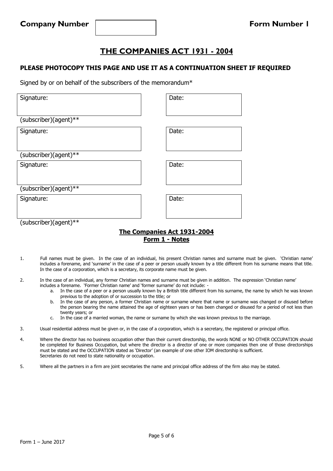### **PLEASE PHOTOCOPY THIS PAGE AND USE IT AS A CONTINUATION SHEET IF REQUIRED**

Signed by or on behalf of the subscribers of the memorandum\*

| Signature:            | Date: |
|-----------------------|-------|
|                       |       |
| (subscriber)(agent)** |       |
| Signature:            | Date: |
|                       |       |
| (subscriber)(agent)** |       |
| Signature:            | Date: |
|                       |       |
| (subscriber)(agent)** |       |
| Signature:            | Date: |
|                       |       |
|                       |       |
| (subscriber)(agent)** |       |

### **The Companies Act 1931-2004 Form 1 - Notes**

- 1. Full names must be given. In the case of an individual, his present Christian names and surname must be given. 'Christian name' includes a forename, and 'surname' in the case of a peer or person usually known by a title different from his surname means that title. In the case of a corporation, which is a secretary, its corporate name must be given.
- 2. In the case of an individual, any former Christian names and surname must be given in addition. The expression 'Christian name' includes a forename. 'Former Christian name' and 'former surname' do not include:
	- a. In the case of a peer or a person usually known by a British title different from his surname, the name by which he was known previous to the adoption of or succession to the title; or
	- b. In the case of any person, a former Christian name or surname where that name or surname was changed or disused before the person bearing the name attained the age of eighteen years or has been changed or disused for a period of not less than twenty years; or
	- c. In the case of a married woman, the name or surname by which she was known previous to the marriage.
- 3. Usual residential address must be given or, in the case of a corporation, which is a secretary, the registered or principal office.
- 4. Where the director has no business occupation other than their current directorship, the words NONE or NO OTHER OCCUPATION should be completed for Business Occupation, but where the director is a director of one or more companies then one of those directorships must be stated and the OCCUPATION stated as 'Director' (an example of one other IOM directorship is sufficient. Secretaries do not need to state nationality or occupation.
- 5. Where all the partners in a firm are joint secretaries the name and principal office address of the firm also may be stated.